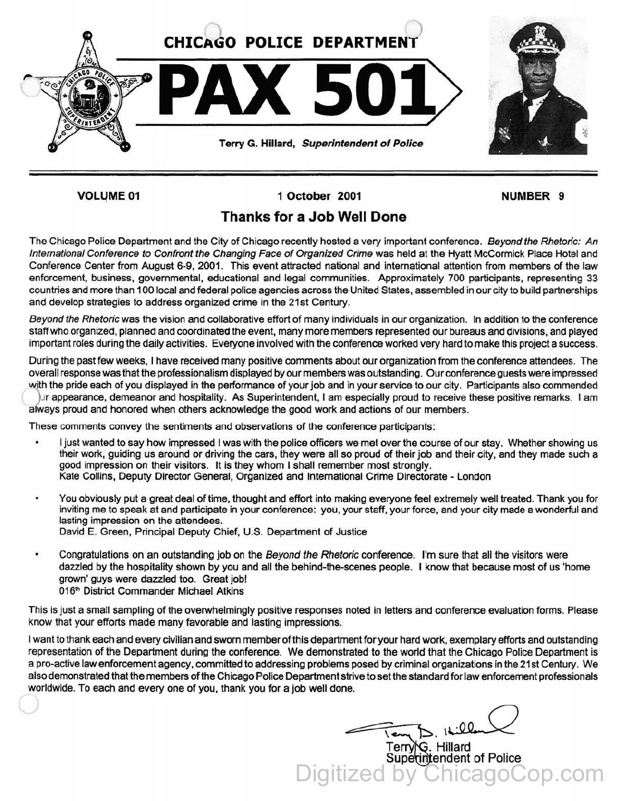

**VOLUME 01** 

1 October 2001

NUMBER 9

## Thanks for a Job Well Done

The Chicago Police Department and the City of Chicago recently hosted a very important conference. Beyond the Rhetoric: An International Conference to Confront the Changing Face of Organized Crime was held at the Hyatt McCormick Place Hotel and Conference Center from August 6-9, 2001. This event attracted national and international attention from members of the law enforcement, business, governmental, educational and legal communities. Approximately 700 participants, representing 33 countries and more than 100 local and federal police agencies across the United States, assembled in our city to build partnerships and develop strategies to address organized crime in the 21st Century.

Beyond the Rhetoric was the vision and collaborative effort of many individuals in our organization. In addition to the conference staff who organized, planned and coordinated the event, many more members represented our bureaus and divisions, and played important roles during the daily activities. Everyone involved with the conference worked very hard to make this project a success.

During the past few weeks, I have received many positive comments about our organization from the conference attendees. The overall response was that the professionalism displayed by our members was outstanding. Our conference guests were impressed with the pride each of you displayed in the performance of your job and in your service to our city. Participants also commended

*}Jr* appearance. demeanor and hospitality. As Superintendent. I am especially proud to receive these positive remarks. I am always proud and honored when others acknowledge the good work and actions of our members.

These comments convey the sentiments and observations of the conference participants:

- I just wanted to say how impressed I was with the police officers we met over the course of our stay. Whether showing us their work, guiding us around or driving the cars, they were all so proud of their job and their city, and they made such a good impression on their visitors. It is they whom I shall remember most strongly. Kate Collins, Deputy Director General, Organized and International Crime Directorate - London
- You obviously put a great deal of time, thought and effort into making everyone feel extremely well treated. Thank you for inviting me to speak at and participate in your conference: you, your staff, your force, and your city made a wonderful and lasting impression on the attendees. David E. Green, Principal Deputy Chief, U.S. Department of Justice
- Congratulations on an outstanding job on the Beyond the Rhetoric conference. I'm sure that all the visitors were dazzled by the hospitality shown by you and all the behind-the-scenes people. I know that because most of us 'home grown' guys were dazzled too. Great job! 016<sup>th</sup> District Commander Michael Atkins

This is just a small sampling of the overwhelmingly positive responses noted in letters and conference evaluation forms. Please know that your efforts made many favorable and lasting impressions.

I want to thank each and every civilian and sworn member of this department for your hard work, exemplary efforts and outstanding representation of the Department during the conference. We demonstrated to the world that the Chicago Police Department is a pro-active law enforcement agency, committed to addressing problems posed by criminal organizations in the 21st Century. We also demonstrated that the members of the Chicago Police Department strive to set the standard for law enforcement professionals worldwide. To each and every one of you, thank you for a job well done.

Terry\G. Hillard

Superintendent of Police Digitized by ChicagoCop.com